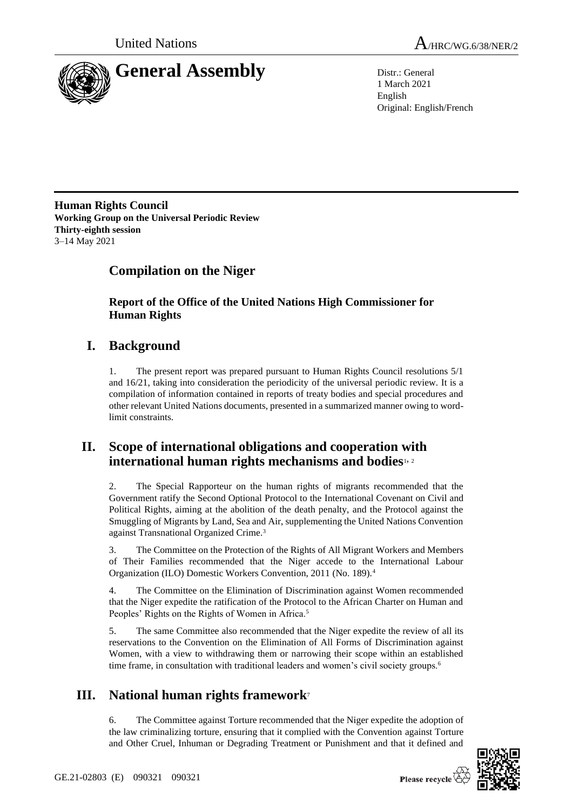



1 March 2021 English Original: English/French

**Human Rights Council Working Group on the Universal Periodic Review Thirty-eighth session** 3–14 May 2021

# **Compilation on the Niger**

**Report of the Office of the United Nations High Commissioner for Human Rights**

## **I. Background**

1. The present report was prepared pursuant to Human Rights Council resolutions 5/1 and 16/21, taking into consideration the periodicity of the universal periodic review. It is a compilation of information contained in reports of treaty bodies and special procedures and other relevant United Nations documents, presented in a summarized manner owing to wordlimit constraints.

## **II. Scope of international obligations and cooperation with international human rights mechanisms and bodies**1, <sup>2</sup>

2. The Special Rapporteur on the human rights of migrants recommended that the Government ratify the Second Optional Protocol to the International Covenant on Civil and Political Rights, aiming at the abolition of the death penalty, and the Protocol against the Smuggling of Migrants by Land, Sea and Air, supplementing the United Nations Convention against Transnational Organized Crime.<sup>3</sup>

3. The Committee on the Protection of the Rights of All Migrant Workers and Members of Their Families recommended that the Niger accede to the International Labour Organization (ILO) Domestic Workers Convention, 2011 (No. 189).<sup>4</sup>

4. The Committee on the Elimination of Discrimination against Women recommended that the Niger expedite the ratification of the Protocol to the African Charter on Human and Peoples' Rights on the Rights of Women in Africa.<sup>5</sup>

5. The same Committee also recommended that the Niger expedite the review of all its reservations to the Convention on the Elimination of All Forms of Discrimination against Women, with a view to withdrawing them or narrowing their scope within an established time frame, in consultation with traditional leaders and women's civil society groups.<sup>6</sup>

# **III. National human rights framework**<sup>7</sup>

6. The Committee against Torture recommended that the Niger expedite the adoption of the law criminalizing torture, ensuring that it complied with the Convention against Torture and Other Cruel, Inhuman or Degrading Treatment or Punishment and that it defined and

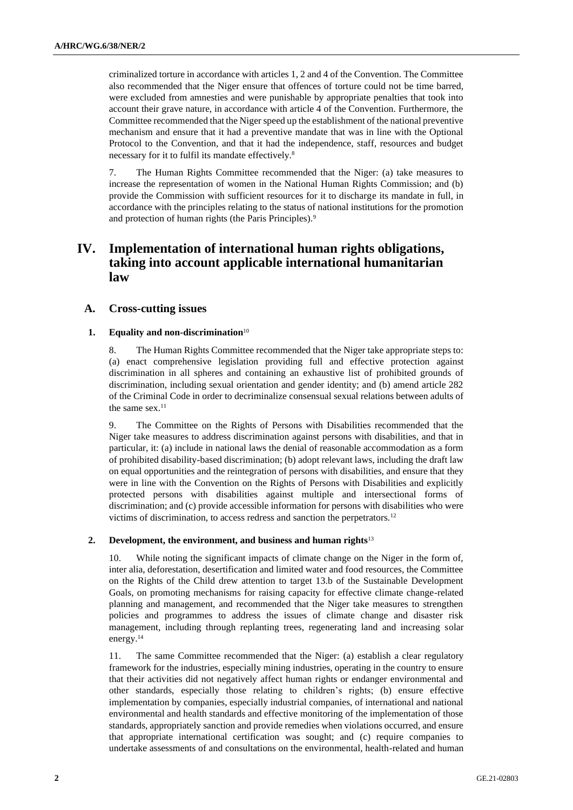criminalized torture in accordance with articles 1, 2 and 4 of the Convention. The Committee also recommended that the Niger ensure that offences of torture could not be time barred, were excluded from amnesties and were punishable by appropriate penalties that took into account their grave nature, in accordance with article 4 of the Convention. Furthermore, the Committee recommended that the Niger speed up the establishment of the national preventive mechanism and ensure that it had a preventive mandate that was in line with the Optional Protocol to the Convention, and that it had the independence, staff, resources and budget necessary for it to fulfil its mandate effectively.<sup>8</sup>

7. The Human Rights Committee recommended that the Niger: (a) take measures to increase the representation of women in the National Human Rights Commission; and (b) provide the Commission with sufficient resources for it to discharge its mandate in full, in accordance with the principles relating to the status of national institutions for the promotion and protection of human rights (the Paris Principles).<sup>9</sup>

## **IV. Implementation of international human rights obligations, taking into account applicable international humanitarian law**

## **A. Cross-cutting issues**

### **1. Equality and non-discrimination**<sup>10</sup>

8. The Human Rights Committee recommended that the Niger take appropriate steps to: (a) enact comprehensive legislation providing full and effective protection against discrimination in all spheres and containing an exhaustive list of prohibited grounds of discrimination, including sexual orientation and gender identity; and (b) amend article 282 of the Criminal Code in order to decriminalize consensual sexual relations between adults of the same sex. $11$ 

9. The Committee on the Rights of Persons with Disabilities recommended that the Niger take measures to address discrimination against persons with disabilities, and that in particular, it: (a) include in national laws the denial of reasonable accommodation as a form of prohibited disability-based discrimination; (b) adopt relevant laws, including the draft law on equal opportunities and the reintegration of persons with disabilities, and ensure that they were in line with the Convention on the Rights of Persons with Disabilities and explicitly protected persons with disabilities against multiple and intersectional forms of discrimination; and (c) provide accessible information for persons with disabilities who were victims of discrimination, to access redress and sanction the perpetrators.<sup>12</sup>

### **2. Development, the environment, and business and human rights**<sup>13</sup>

10. While noting the significant impacts of climate change on the Niger in the form of, inter alia, deforestation, desertification and limited water and food resources, the Committee on the Rights of the Child drew attention to target 13.b of the Sustainable Development Goals, on promoting mechanisms for raising capacity for effective climate change-related planning and management, and recommended that the Niger take measures to strengthen policies and programmes to address the issues of climate change and disaster risk management, including through replanting trees, regenerating land and increasing solar energy.<sup>14</sup>

11. The same Committee recommended that the Niger: (a) establish a clear regulatory framework for the industries, especially mining industries, operating in the country to ensure that their activities did not negatively affect human rights or endanger environmental and other standards, especially those relating to children's rights; (b) ensure effective implementation by companies, especially industrial companies, of international and national environmental and health standards and effective monitoring of the implementation of those standards, appropriately sanction and provide remedies when violations occurred, and ensure that appropriate international certification was sought; and (c) require companies to undertake assessments of and consultations on the environmental, health-related and human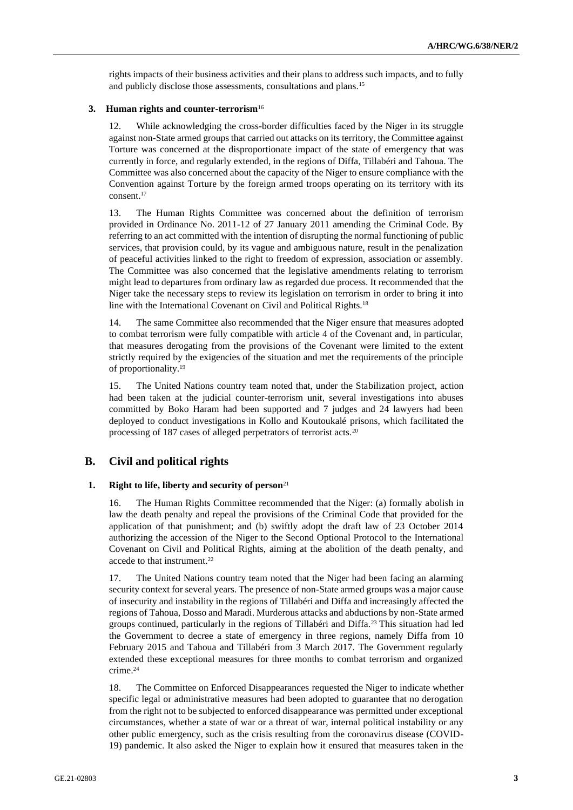rights impacts of their business activities and their plans to address such impacts, and to fully and publicly disclose those assessments, consultations and plans.<sup>15</sup>

#### **3. Human rights and counter-terrorism**<sup>16</sup>

12. While acknowledging the cross-border difficulties faced by the Niger in its struggle against non-State armed groups that carried out attacks on its territory, the Committee against Torture was concerned at the disproportionate impact of the state of emergency that was currently in force, and regularly extended, in the regions of Diffa, Tillabéri and Tahoua. The Committee was also concerned about the capacity of the Niger to ensure compliance with the Convention against Torture by the foreign armed troops operating on its territory with its consent.<sup>17</sup>

13. The Human Rights Committee was concerned about the definition of terrorism provided in Ordinance No. 2011-12 of 27 January 2011 amending the Criminal Code. By referring to an act committed with the intention of disrupting the normal functioning of public services, that provision could, by its vague and ambiguous nature, result in the penalization of peaceful activities linked to the right to freedom of expression, association or assembly. The Committee was also concerned that the legislative amendments relating to terrorism might lead to departures from ordinary law as regarded due process. It recommended that the Niger take the necessary steps to review its legislation on terrorism in order to bring it into line with the International Covenant on Civil and Political Rights.<sup>18</sup>

14. The same Committee also recommended that the Niger ensure that measures adopted to combat terrorism were fully compatible with article 4 of the Covenant and, in particular, that measures derogating from the provisions of the Covenant were limited to the extent strictly required by the exigencies of the situation and met the requirements of the principle of proportionality.<sup>19</sup>

15. The United Nations country team noted that, under the Stabilization project, action had been taken at the judicial counter-terrorism unit, several investigations into abuses committed by Boko Haram had been supported and 7 judges and 24 lawyers had been deployed to conduct investigations in Kollo and Koutoukalé prisons, which facilitated the processing of 187 cases of alleged perpetrators of terrorist acts.<sup>20</sup>

## **B. Civil and political rights**

#### **1. Right to life, liberty and security of person**<sup>21</sup>

16. The Human Rights Committee recommended that the Niger: (a) formally abolish in law the death penalty and repeal the provisions of the Criminal Code that provided for the application of that punishment; and (b) swiftly adopt the draft law of 23 October 2014 authorizing the accession of the Niger to the Second Optional Protocol to the International Covenant on Civil and Political Rights, aiming at the abolition of the death penalty, and accede to that instrument.<sup>22</sup>

17. The United Nations country team noted that the Niger had been facing an alarming security context for several years. The presence of non-State armed groups was a major cause of insecurity and instability in the regions of Tillabéri and Diffa and increasingly affected the regions of Tahoua, Dosso and Maradi. Murderous attacks and abductions by non-State armed groups continued, particularly in the regions of Tillabéri and Diffa.<sup>23</sup> This situation had led the Government to decree a state of emergency in three regions, namely Diffa from 10 February 2015 and Tahoua and Tillabéri from 3 March 2017. The Government regularly extended these exceptional measures for three months to combat terrorism and organized crime.<sup>24</sup>

18. The Committee on Enforced Disappearances requested the Niger to indicate whether specific legal or administrative measures had been adopted to guarantee that no derogation from the right not to be subjected to enforced disappearance was permitted under exceptional circumstances, whether a state of war or a threat of war, internal political instability or any other public emergency, such as the crisis resulting from the coronavirus disease (COVID-19) pandemic. It also asked the Niger to explain how it ensured that measures taken in the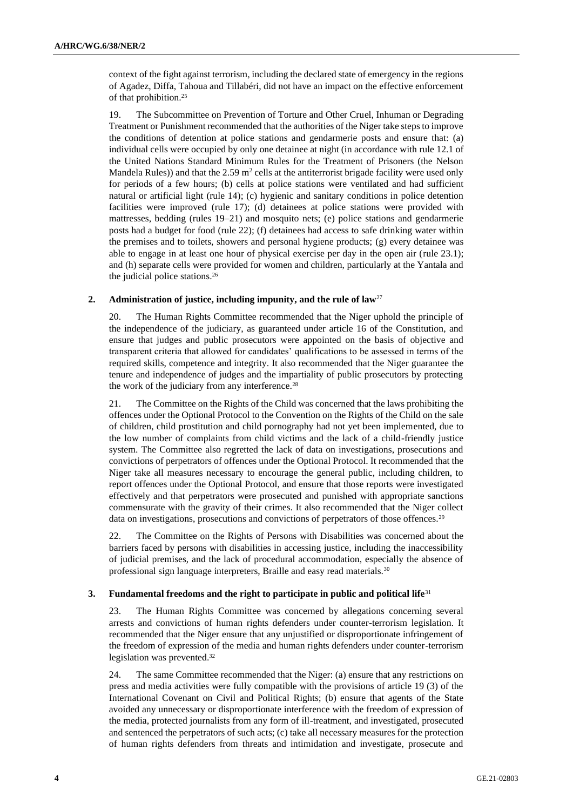context of the fight against terrorism, including the declared state of emergency in the regions of Agadez, Diffa, Tahoua and Tillabéri, did not have an impact on the effective enforcement of that prohibition.<sup>25</sup>

19. The Subcommittee on Prevention of Torture and Other Cruel, Inhuman or Degrading Treatment or Punishment recommended that the authorities of the Niger take steps to improve the conditions of detention at police stations and gendarmerie posts and ensure that: (a) individual cells were occupied by only one detainee at night (in accordance with rule 12.1 of the United Nations Standard Minimum Rules for the Treatment of Prisoners (the Nelson Mandela Rules)) and that the  $2.59 \text{ m}^2$  cells at the antiterrorist brigade facility were used only for periods of a few hours; (b) cells at police stations were ventilated and had sufficient natural or artificial light (rule 14); (c) hygienic and sanitary conditions in police detention facilities were improved (rule 17); (d) detainees at police stations were provided with mattresses, bedding (rules 19–21) and mosquito nets; (e) police stations and gendarmerie posts had a budget for food (rule 22); (f) detainees had access to safe drinking water within the premises and to toilets, showers and personal hygiene products; (g) every detainee was able to engage in at least one hour of physical exercise per day in the open air (rule 23.1); and (h) separate cells were provided for women and children, particularly at the Yantala and the judicial police stations.<sup>26</sup>

## **2. Administration of justice, including impunity, and the rule of law**<sup>27</sup>

20. The Human Rights Committee recommended that the Niger uphold the principle of the independence of the judiciary, as guaranteed under article 16 of the Constitution, and ensure that judges and public prosecutors were appointed on the basis of objective and transparent criteria that allowed for candidates' qualifications to be assessed in terms of the required skills, competence and integrity. It also recommended that the Niger guarantee the tenure and independence of judges and the impartiality of public prosecutors by protecting the work of the judiciary from any interference.<sup>28</sup>

21. The Committee on the Rights of the Child was concerned that the laws prohibiting the offences under the Optional Protocol to the Convention on the Rights of the Child on the sale of children, child prostitution and child pornography had not yet been implemented, due to the low number of complaints from child victims and the lack of a child-friendly justice system. The Committee also regretted the lack of data on investigations, prosecutions and convictions of perpetrators of offences under the Optional Protocol. It recommended that the Niger take all measures necessary to encourage the general public, including children, to report offences under the Optional Protocol, and ensure that those reports were investigated effectively and that perpetrators were prosecuted and punished with appropriate sanctions commensurate with the gravity of their crimes. It also recommended that the Niger collect data on investigations, prosecutions and convictions of perpetrators of those offences.<sup>29</sup>

22. The Committee on the Rights of Persons with Disabilities was concerned about the barriers faced by persons with disabilities in accessing justice, including the inaccessibility of judicial premises, and the lack of procedural accommodation, especially the absence of professional sign language interpreters, Braille and easy read materials.<sup>30</sup>

## **3. Fundamental freedoms and the right to participate in public and political life**<sup>31</sup>

23. The Human Rights Committee was concerned by allegations concerning several arrests and convictions of human rights defenders under counter-terrorism legislation. It recommended that the Niger ensure that any unjustified or disproportionate infringement of the freedom of expression of the media and human rights defenders under counter-terrorism legislation was prevented.<sup>32</sup>

24. The same Committee recommended that the Niger: (a) ensure that any restrictions on press and media activities were fully compatible with the provisions of article 19 (3) of the International Covenant on Civil and Political Rights; (b) ensure that agents of the State avoided any unnecessary or disproportionate interference with the freedom of expression of the media, protected journalists from any form of ill-treatment, and investigated, prosecuted and sentenced the perpetrators of such acts; (c) take all necessary measures for the protection of human rights defenders from threats and intimidation and investigate, prosecute and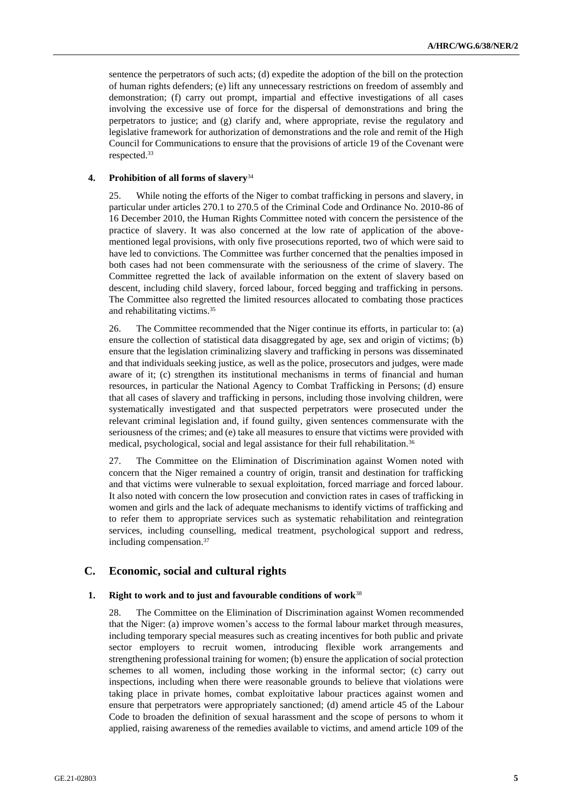sentence the perpetrators of such acts; (d) expedite the adoption of the bill on the protection of human rights defenders; (e) lift any unnecessary restrictions on freedom of assembly and demonstration; (f) carry out prompt, impartial and effective investigations of all cases involving the excessive use of force for the dispersal of demonstrations and bring the perpetrators to justice; and (g) clarify and, where appropriate, revise the regulatory and legislative framework for authorization of demonstrations and the role and remit of the High Council for Communications to ensure that the provisions of article 19 of the Covenant were respected.<sup>33</sup>

### **4. Prohibition of all forms of slavery**<sup>34</sup>

25. While noting the efforts of the Niger to combat trafficking in persons and slavery, in particular under articles 270.1 to 270.5 of the Criminal Code and Ordinance No. 2010-86 of 16 December 2010, the Human Rights Committee noted with concern the persistence of the practice of slavery. It was also concerned at the low rate of application of the abovementioned legal provisions, with only five prosecutions reported, two of which were said to have led to convictions. The Committee was further concerned that the penalties imposed in both cases had not been commensurate with the seriousness of the crime of slavery. The Committee regretted the lack of available information on the extent of slavery based on descent, including child slavery, forced labour, forced begging and trafficking in persons. The Committee also regretted the limited resources allocated to combating those practices and rehabilitating victims.<sup>35</sup>

26. The Committee recommended that the Niger continue its efforts, in particular to: (a) ensure the collection of statistical data disaggregated by age, sex and origin of victims; (b) ensure that the legislation criminalizing slavery and trafficking in persons was disseminated and that individuals seeking justice, as well as the police, prosecutors and judges, were made aware of it; (c) strengthen its institutional mechanisms in terms of financial and human resources, in particular the National Agency to Combat Trafficking in Persons; (d) ensure that all cases of slavery and trafficking in persons, including those involving children, were systematically investigated and that suspected perpetrators were prosecuted under the relevant criminal legislation and, if found guilty, given sentences commensurate with the seriousness of the crimes; and (e) take all measures to ensure that victims were provided with medical, psychological, social and legal assistance for their full rehabilitation.<sup>36</sup>

27. The Committee on the Elimination of Discrimination against Women noted with concern that the Niger remained a country of origin, transit and destination for trafficking and that victims were vulnerable to sexual exploitation, forced marriage and forced labour. It also noted with concern the low prosecution and conviction rates in cases of trafficking in women and girls and the lack of adequate mechanisms to identify victims of trafficking and to refer them to appropriate services such as systematic rehabilitation and reintegration services, including counselling, medical treatment, psychological support and redress, including compensation.<sup>37</sup>

## **C. Economic, social and cultural rights**

#### **1. Right to work and to just and favourable conditions of work**<sup>38</sup>

28. The Committee on the Elimination of Discrimination against Women recommended that the Niger: (a) improve women's access to the formal labour market through measures, including temporary special measures such as creating incentives for both public and private sector employers to recruit women, introducing flexible work arrangements and strengthening professional training for women; (b) ensure the application of social protection schemes to all women, including those working in the informal sector; (c) carry out inspections, including when there were reasonable grounds to believe that violations were taking place in private homes, combat exploitative labour practices against women and ensure that perpetrators were appropriately sanctioned; (d) amend article 45 of the Labour Code to broaden the definition of sexual harassment and the scope of persons to whom it applied, raising awareness of the remedies available to victims, and amend article 109 of the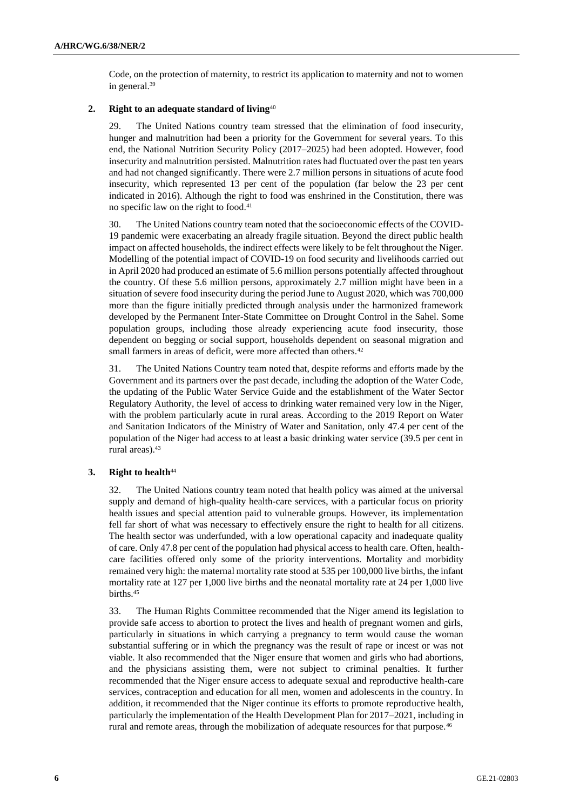Code, on the protection of maternity, to restrict its application to maternity and not to women in general.<sup>39</sup>

## **2. Right to an adequate standard of living**<sup>40</sup>

29. The United Nations country team stressed that the elimination of food insecurity, hunger and malnutrition had been a priority for the Government for several years. To this end, the National Nutrition Security Policy (2017–2025) had been adopted. However, food insecurity and malnutrition persisted. Malnutrition rates had fluctuated over the past ten years and had not changed significantly. There were 2.7 million persons in situations of acute food insecurity, which represented 13 per cent of the population (far below the 23 per cent indicated in 2016). Although the right to food was enshrined in the Constitution, there was no specific law on the right to food.<sup>41</sup>

30. The United Nations country team noted that the socioeconomic effects of the COVID-19 pandemic were exacerbating an already fragile situation. Beyond the direct public health impact on affected households, the indirect effects were likely to be felt throughout the Niger. Modelling of the potential impact of COVID-19 on food security and livelihoods carried out in April 2020 had produced an estimate of 5.6 million persons potentially affected throughout the country. Of these 5.6 million persons, approximately 2.7 million might have been in a situation of severe food insecurity during the period June to August 2020, which was 700,000 more than the figure initially predicted through analysis under the harmonized framework developed by the Permanent Inter-State Committee on Drought Control in the Sahel. Some population groups, including those already experiencing acute food insecurity, those dependent on begging or social support, households dependent on seasonal migration and small farmers in areas of deficit, were more affected than others.<sup>42</sup>

31. The United Nations Country team noted that, despite reforms and efforts made by the Government and its partners over the past decade, including the adoption of the Water Code, the updating of the Public Water Service Guide and the establishment of the Water Sector Regulatory Authority, the level of access to drinking water remained very low in the Niger, with the problem particularly acute in rural areas. According to the 2019 Report on Water and Sanitation Indicators of the Ministry of Water and Sanitation, only 47.4 per cent of the population of the Niger had access to at least a basic drinking water service (39.5 per cent in rural areas).<sup>43</sup>

## **3. Right to health**<sup>44</sup>

32. The United Nations country team noted that health policy was aimed at the universal supply and demand of high-quality health-care services, with a particular focus on priority health issues and special attention paid to vulnerable groups. However, its implementation fell far short of what was necessary to effectively ensure the right to health for all citizens. The health sector was underfunded, with a low operational capacity and inadequate quality of care. Only 47.8 per cent of the population had physical access to health care. Often, healthcare facilities offered only some of the priority interventions. Mortality and morbidity remained very high: the maternal mortality rate stood at 535 per 100,000 live births, the infant mortality rate at 127 per 1,000 live births and the neonatal mortality rate at 24 per 1,000 live births.<sup>45</sup>

33. The Human Rights Committee recommended that the Niger amend its legislation to provide safe access to abortion to protect the lives and health of pregnant women and girls, particularly in situations in which carrying a pregnancy to term would cause the woman substantial suffering or in which the pregnancy was the result of rape or incest or was not viable. It also recommended that the Niger ensure that women and girls who had abortions, and the physicians assisting them, were not subject to criminal penalties. It further recommended that the Niger ensure access to adequate sexual and reproductive health-care services, contraception and education for all men, women and adolescents in the country. In addition, it recommended that the Niger continue its efforts to promote reproductive health, particularly the implementation of the Health Development Plan for 2017–2021, including in rural and remote areas, through the mobilization of adequate resources for that purpose.46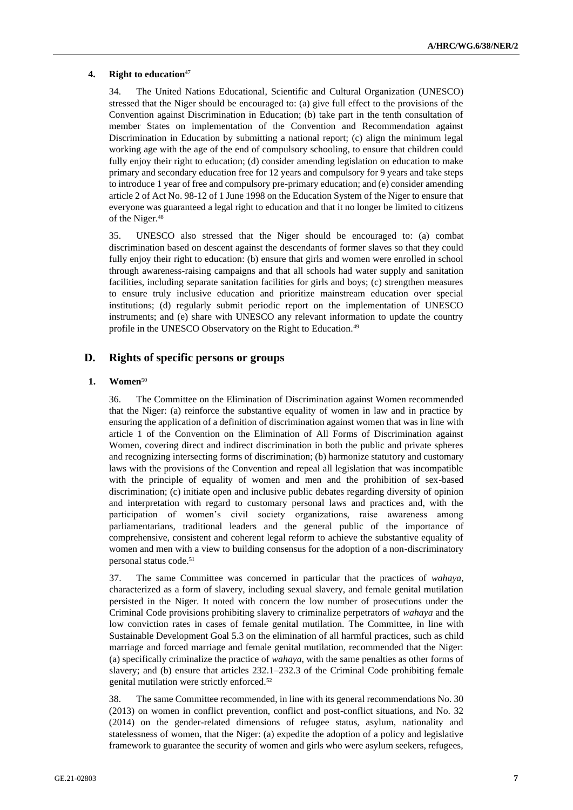### **4. Right to education**<sup>47</sup>

34. The United Nations Educational, Scientific and Cultural Organization (UNESCO) stressed that the Niger should be encouraged to: (a) give full effect to the provisions of the Convention against Discrimination in Education; (b) take part in the tenth consultation of member States on implementation of the Convention and Recommendation against Discrimination in Education by submitting a national report; (c) align the minimum legal working age with the age of the end of compulsory schooling, to ensure that children could fully enjoy their right to education; (d) consider amending legislation on education to make primary and secondary education free for 12 years and compulsory for 9 years and take steps to introduce 1 year of free and compulsory pre-primary education; and (e) consider amending article 2 of Act No. 98-12 of 1 June 1998 on the Education System of the Niger to ensure that everyone was guaranteed a legal right to education and that it no longer be limited to citizens of the Niger.<sup>48</sup>

35. UNESCO also stressed that the Niger should be encouraged to: (a) combat discrimination based on descent against the descendants of former slaves so that they could fully enjoy their right to education: (b) ensure that girls and women were enrolled in school through awareness-raising campaigns and that all schools had water supply and sanitation facilities, including separate sanitation facilities for girls and boys; (c) strengthen measures to ensure truly inclusive education and prioritize mainstream education over special institutions; (d) regularly submit periodic report on the implementation of UNESCO instruments; and (e) share with UNESCO any relevant information to update the country profile in the UNESCO Observatory on the Right to Education.<sup>49</sup>

## **D. Rights of specific persons or groups**

#### **1. Women**<sup>50</sup>

36. The Committee on the Elimination of Discrimination against Women recommended that the Niger: (a) reinforce the substantive equality of women in law and in practice by ensuring the application of a definition of discrimination against women that was in line with article 1 of the Convention on the Elimination of All Forms of Discrimination against Women, covering direct and indirect discrimination in both the public and private spheres and recognizing intersecting forms of discrimination; (b) harmonize statutory and customary laws with the provisions of the Convention and repeal all legislation that was incompatible with the principle of equality of women and men and the prohibition of sex-based discrimination; (c) initiate open and inclusive public debates regarding diversity of opinion and interpretation with regard to customary personal laws and practices and, with the participation of women's civil society organizations, raise awareness among parliamentarians, traditional leaders and the general public of the importance of comprehensive, consistent and coherent legal reform to achieve the substantive equality of women and men with a view to building consensus for the adoption of a non-discriminatory personal status code.<sup>51</sup>

37. The same Committee was concerned in particular that the practices of *wahaya*, characterized as a form of slavery, including sexual slavery, and female genital mutilation persisted in the Niger. It noted with concern the low number of prosecutions under the Criminal Code provisions prohibiting slavery to criminalize perpetrators of *wahaya* and the low conviction rates in cases of female genital mutilation. The Committee, in line with Sustainable Development Goal 5.3 on the elimination of all harmful practices, such as child marriage and forced marriage and female genital mutilation, recommended that the Niger: (a) specifically criminalize the practice of *wahaya*, with the same penalties as other forms of slavery; and (b) ensure that articles 232.1–232.3 of the Criminal Code prohibiting female genital mutilation were strictly enforced.<sup>52</sup>

38. The same Committee recommended, in line with its general recommendations No. 30 (2013) on women in conflict prevention, conflict and post-conflict situations, and No. 32 (2014) on the gender-related dimensions of refugee status, asylum, nationality and statelessness of women, that the Niger: (a) expedite the adoption of a policy and legislative framework to guarantee the security of women and girls who were asylum seekers, refugees,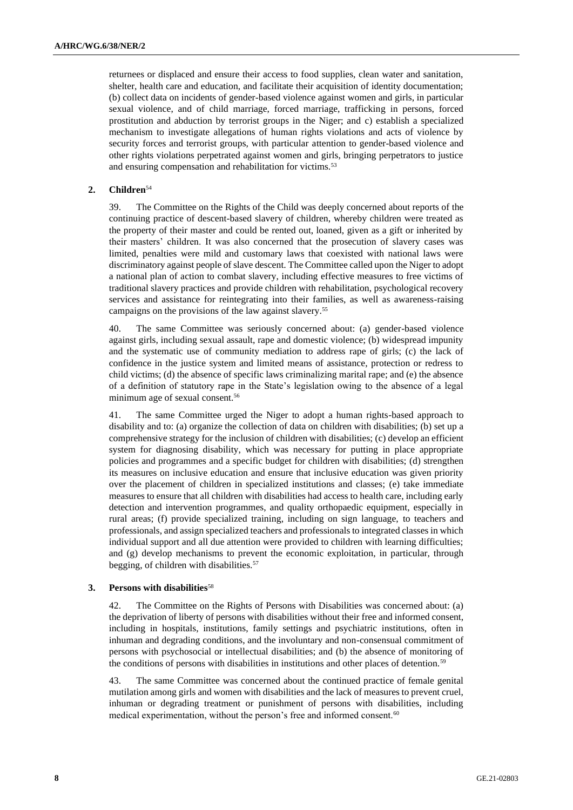returnees or displaced and ensure their access to food supplies, clean water and sanitation, shelter, health care and education, and facilitate their acquisition of identity documentation; (b) collect data on incidents of gender-based violence against women and girls, in particular sexual violence, and of child marriage, forced marriage, trafficking in persons, forced prostitution and abduction by terrorist groups in the Niger; and c) establish a specialized mechanism to investigate allegations of human rights violations and acts of violence by security forces and terrorist groups, with particular attention to gender-based violence and other rights violations perpetrated against women and girls, bringing perpetrators to justice and ensuring compensation and rehabilitation for victims.<sup>53</sup>

## **2. Children**<sup>54</sup>

39. The Committee on the Rights of the Child was deeply concerned about reports of the continuing practice of descent-based slavery of children, whereby children were treated as the property of their master and could be rented out, loaned, given as a gift or inherited by their masters' children. It was also concerned that the prosecution of slavery cases was limited, penalties were mild and customary laws that coexisted with national laws were discriminatory against people of slave descent. The Committee called upon the Niger to adopt a national plan of action to combat slavery, including effective measures to free victims of traditional slavery practices and provide children with rehabilitation, psychological recovery services and assistance for reintegrating into their families, as well as awareness-raising campaigns on the provisions of the law against slavery.<sup>55</sup>

40. The same Committee was seriously concerned about: (a) gender-based violence against girls, including sexual assault, rape and domestic violence; (b) widespread impunity and the systematic use of community mediation to address rape of girls; (c) the lack of confidence in the justice system and limited means of assistance, protection or redress to child victims; (d) the absence of specific laws criminalizing marital rape; and (e) the absence of a definition of statutory rape in the State's legislation owing to the absence of a legal minimum age of sexual consent.<sup>56</sup>

41. The same Committee urged the Niger to adopt a human rights-based approach to disability and to: (a) organize the collection of data on children with disabilities; (b) set up a comprehensive strategy for the inclusion of children with disabilities; (c) develop an efficient system for diagnosing disability, which was necessary for putting in place appropriate policies and programmes and a specific budget for children with disabilities; (d) strengthen its measures on inclusive education and ensure that inclusive education was given priority over the placement of children in specialized institutions and classes; (e) take immediate measures to ensure that all children with disabilities had access to health care, including early detection and intervention programmes, and quality orthopaedic equipment, especially in rural areas; (f) provide specialized training, including on sign language, to teachers and professionals, and assign specialized teachers and professionals to integrated classes in which individual support and all due attention were provided to children with learning difficulties; and (g) develop mechanisms to prevent the economic exploitation, in particular, through begging, of children with disabilities.<sup>57</sup>

#### **3. Persons with disabilities**<sup>58</sup>

42. The Committee on the Rights of Persons with Disabilities was concerned about: (a) the deprivation of liberty of persons with disabilities without their free and informed consent, including in hospitals, institutions, family settings and psychiatric institutions, often in inhuman and degrading conditions, and the involuntary and non-consensual commitment of persons with psychosocial or intellectual disabilities; and (b) the absence of monitoring of the conditions of persons with disabilities in institutions and other places of detention.<sup>59</sup>

43. The same Committee was concerned about the continued practice of female genital mutilation among girls and women with disabilities and the lack of measures to prevent cruel, inhuman or degrading treatment or punishment of persons with disabilities, including medical experimentation, without the person's free and informed consent.<sup>60</sup>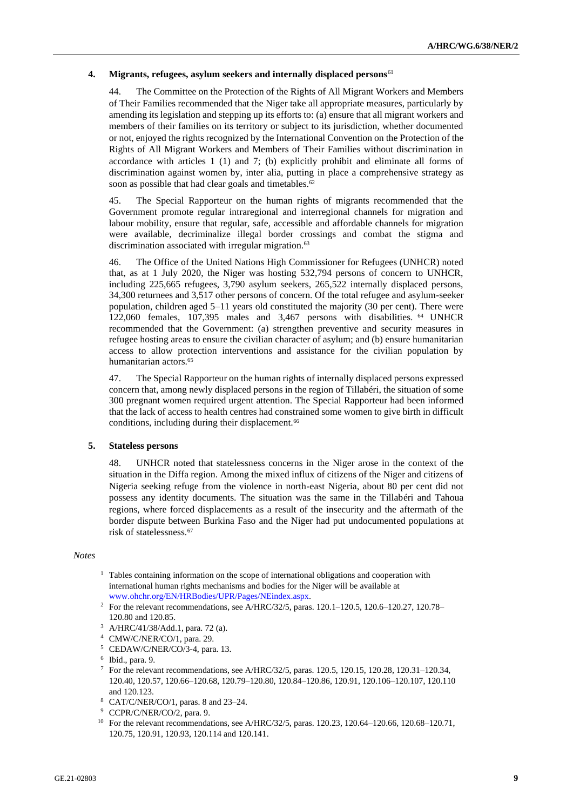### **4. Migrants, refugees, asylum seekers and internally displaced persons**<sup>61</sup>

44. The Committee on the Protection of the Rights of All Migrant Workers and Members of Their Families recommended that the Niger take all appropriate measures, particularly by amending its legislation and stepping up its efforts to: (a) ensure that all migrant workers and members of their families on its territory or subject to its jurisdiction, whether documented or not, enjoyed the rights recognized by the International Convention on the Protection of the Rights of All Migrant Workers and Members of Their Families without discrimination in accordance with articles 1 (1) and 7; (b) explicitly prohibit and eliminate all forms of discrimination against women by, inter alia, putting in place a comprehensive strategy as soon as possible that had clear goals and timetables.<sup>62</sup>

45. The Special Rapporteur on the human rights of migrants recommended that the Government promote regular intraregional and interregional channels for migration and labour mobility, ensure that regular, safe, accessible and affordable channels for migration were available, decriminalize illegal border crossings and combat the stigma and discrimination associated with irregular migration.<sup>63</sup>

46. The Office of the United Nations High Commissioner for Refugees (UNHCR) noted that, as at 1 July 2020, the Niger was hosting 532,794 persons of concern to UNHCR, including 225,665 refugees, 3,790 asylum seekers, 265,522 internally displaced persons, 34,300 returnees and 3,517 other persons of concern. Of the total refugee and asylum-seeker population, children aged 5–11 years old constituted the majority (30 per cent). There were 122,060 females, 107,395 males and 3,467 persons with disabilities. <sup>64</sup> UNHCR recommended that the Government: (a) strengthen preventive and security measures in refugee hosting areas to ensure the civilian character of asylum; and (b) ensure humanitarian access to allow protection interventions and assistance for the civilian population by humanitarian actors.<sup>65</sup>

47. The Special Rapporteur on the human rights of internally displaced persons expressed concern that, among newly displaced persons in the region of Tillabéri, the situation of some 300 pregnant women required urgent attention. The Special Rapporteur had been informed that the lack of access to health centres had constrained some women to give birth in difficult conditions, including during their displacement.<sup>66</sup>

#### **5. Stateless persons**

48. UNHCR noted that statelessness concerns in the Niger arose in the context of the situation in the Diffa region. Among the mixed influx of citizens of the Niger and citizens of Nigeria seeking refuge from the violence in north-east Nigeria, about 80 per cent did not possess any identity documents. The situation was the same in the Tillabéri and Tahoua regions, where forced displacements as a result of the insecurity and the aftermath of the border dispute between Burkina Faso and the Niger had put undocumented populations at risk of statelessness.<sup>67</sup>

#### *Notes*

- $1$  Tables containing information on the scope of international obligations and cooperation with international human rights mechanisms and bodies for the Niger will be available at [www.ohchr.org/EN/HRBodies/UPR/Pages/NEindex.aspx.](https://unitednations-my.sharepoint.com/personal/philippa_fletcher_un_org/Documents/Documents/CURRENT%20DOX/www.ohchr.org/EN/HRBodies/UPR/Pages/NEindex.aspx)
- <sup>2</sup> For the relevant recommendations, see A/HRC/32/5, paras. 120.1–120.5, 120.6–120.27, 120.78– 120.80 and 120.85.
- <sup>3</sup> A/HRC/41/38/Add.1, para. 72 (a).
- <sup>4</sup> CMW/C/NER/CO/1, para. 29.
- <sup>5</sup> CEDAW/C/NER/CO/3-4, para. 13.
- 6 Ibid., para. 9.
- <sup>7</sup> For the relevant recommendations, see A/HRC/32/5, paras. 120.5, 120.15, 120.28, 120.31–120.34, 120.40, 120.57, 120.66–120.68, 120.79–120.80, 120.84–120.86, 120.91, 120.106–120.107, 120.110 and 120.123.
- <sup>8</sup> CAT/C/NER/CO/1, paras. 8 and 23–24.
- <sup>9</sup> CCPR/C/NER/CO/2, para. 9.
- <sup>10</sup> For the relevant recommendations, see A/HRC/32/5, paras. 120.23, 120.64–120.66, 120.68–120.71, 120.75, 120.91, 120.93, 120.114 and 120.141.